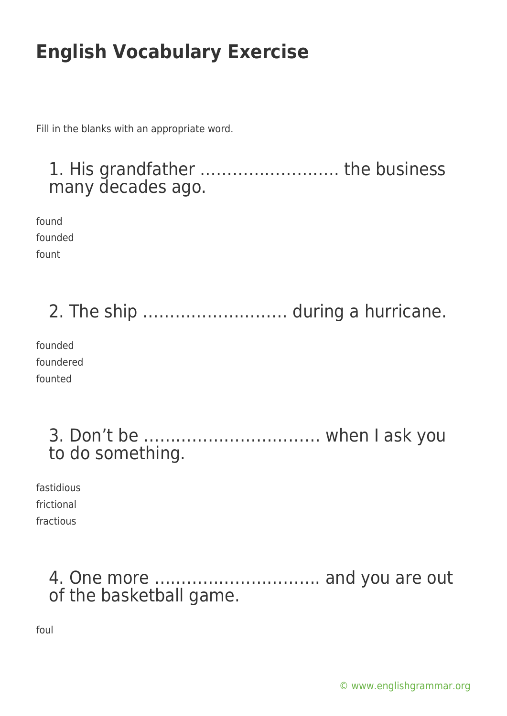Fill in the blanks with an appropriate word.

#### 1. His grandfather …………………….. the business many decades ago.

found founded fount

2. The ship ……………………… during a hurricane.

founded foundered founted

#### 3. Don't be …………………………… when I ask you to do something.

fastidious frictional fractious

### 4. One more …………………………. and you are out of the basketball game.

foul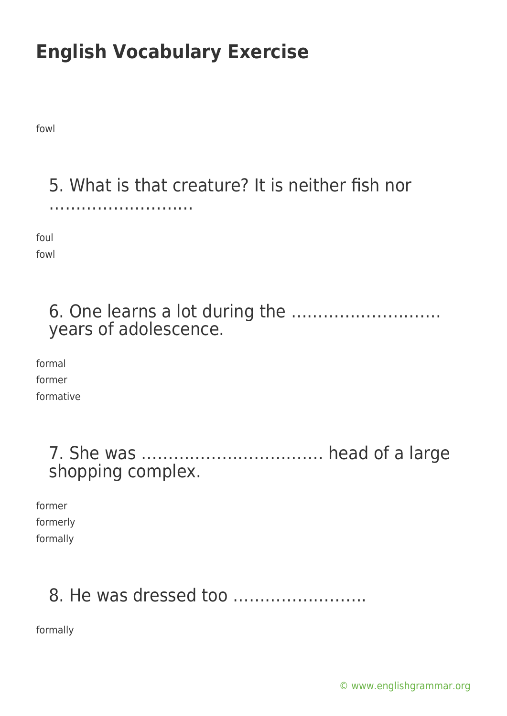fowl

# 5. What is that creature? It is neither fish nor

foul fowl

………………………

#### 6. One learns a lot during the ………………………. years of adolescence.

formal former formative

| shopping complex. |  |  |
|-------------------|--|--|

former formerly formally

## 8. He was dressed too …………………….

formally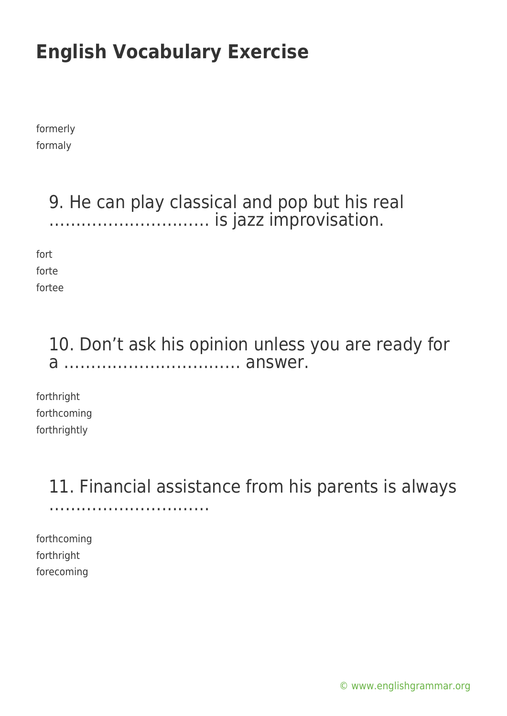formerly formaly

#### 9. He can play classical and pop but his real ………………………… is jazz improvisation.

fort forte fortee

### 10. Don't ask his opinion unless you are ready for a …………………………… answer.

forthright forthcoming forthrightly

#### 11. Financial assistance from his parents is always ……………………………………

forthcoming forthright forecoming